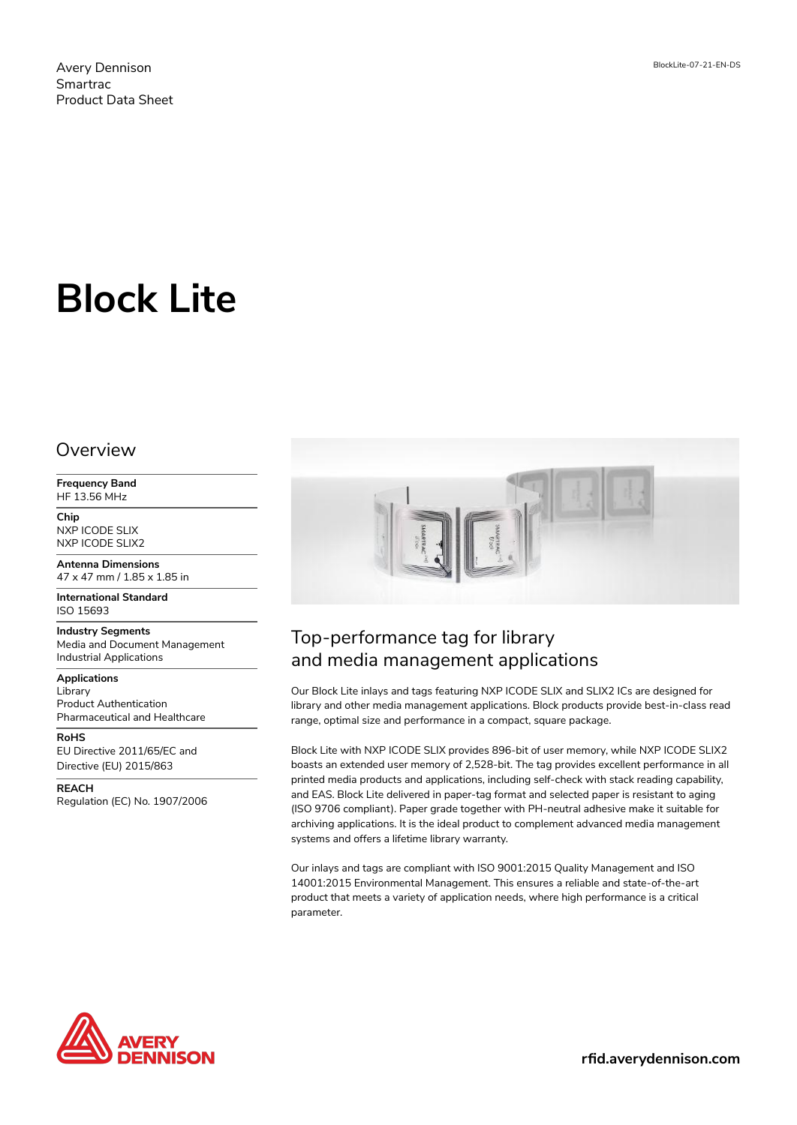# **Block Lite**

#### Overview

**Frequency Band** HF 13.56 MHz

**Chip** NXP ICODE SLIX NXP ICODE SLIX2

**Antenna Dimensions** 47 x 47 mm / 1.85 x 1.85 in

**International Standard** ISO 15693

**Industry Segments** Media and Document Management Industrial Applications

**Applications** Library Product Authentication Pharmaceutical and Healthcare

**RoHS** EU Directive 2011/65/EC and Directive (EU) 2015/863

**REACH** Regulation (EC) No. 1907/2006



## Top-performance tag for library and media management applications

Our Block Lite inlays and tags featuring NXP ICODE SLIX and SLIX2 ICs are designed for library and other media management applications. Block products provide best-in-class read range, optimal size and performance in a compact, square package.

Block Lite with NXP ICODE SLIX provides 896-bit of user memory, while NXP ICODE SLIX2 boasts an extended user memory of 2,528-bit. The tag provides excellent performance in all printed media products and applications, including self-check with stack reading capability, and EAS. Block Lite delivered in paper-tag format and selected paper is resistant to aging (ISO 9706 compliant). Paper grade together with PH-neutral adhesive make it suitable for archiving applications. It is the ideal product to complement advanced media management systems and offers a lifetime library warranty.

Our inlays and tags are compliant with ISO 9001:2015 Quality Management and ISO 14001:2015 Environmental Management. This ensures a reliable and state-of-the-art product that meets a variety of application needs, where high performance is a critical parameter.